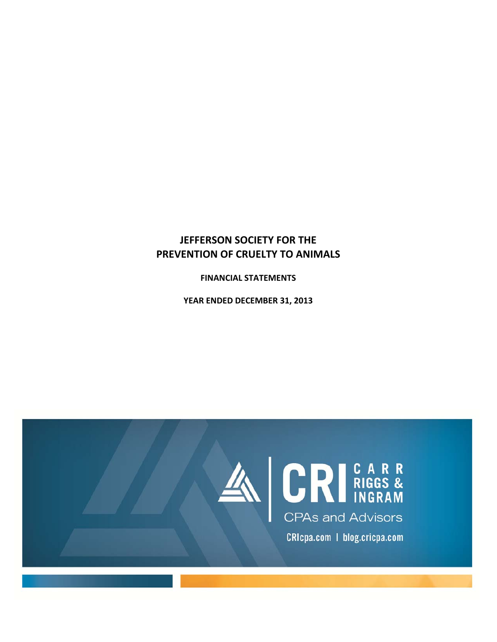## **JEFFERSON SOCIETY FOR THE PREVENTION OF CRUELTY TO ANIMALS**

**FINANCIAL STATEMENTS**

**YEAR ENDED DECEMBER 31, 2013** 

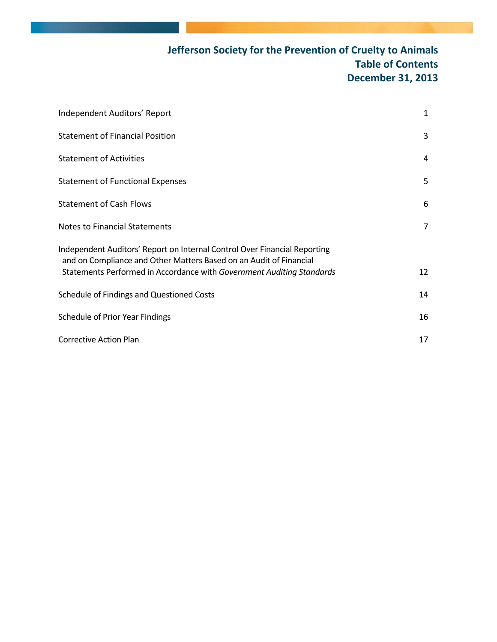# **Jefferson Society for the Prevention of Cruelty to Animals Table of Contents December 31, 2013**

| Independent Auditors' Report                                                                                                                                                                                             | 1  |
|--------------------------------------------------------------------------------------------------------------------------------------------------------------------------------------------------------------------------|----|
| <b>Statement of Financial Position</b>                                                                                                                                                                                   | 3  |
| <b>Statement of Activities</b>                                                                                                                                                                                           | 4  |
| <b>Statement of Functional Expenses</b>                                                                                                                                                                                  | 5  |
| <b>Statement of Cash Flows</b>                                                                                                                                                                                           | 6  |
| Notes to Financial Statements                                                                                                                                                                                            | 7  |
| Independent Auditors' Report on Internal Control Over Financial Reporting<br>and on Compliance and Other Matters Based on an Audit of Financial<br>Statements Performed in Accordance with Government Auditing Standards | 12 |
| Schedule of Findings and Questioned Costs                                                                                                                                                                                | 14 |
| Schedule of Prior Year Findings                                                                                                                                                                                          | 16 |
| <b>Corrective Action Plan</b>                                                                                                                                                                                            | 17 |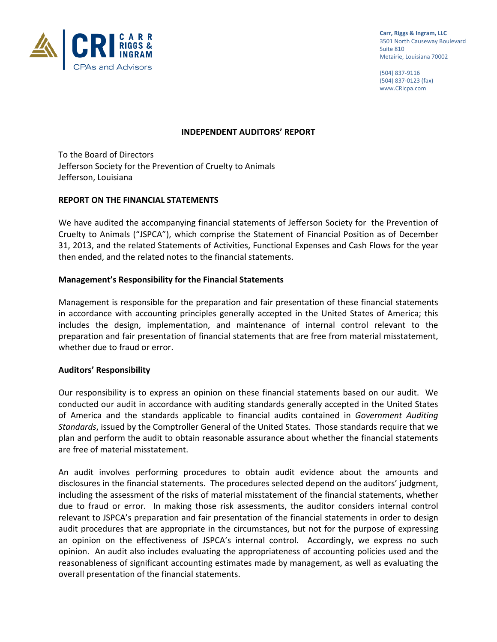

**Carr, Riggs & Ingram, LLC** 3501 North Causeway Boulevard Suite 810 Metairie, Louisiana 70002

(504) 837‐9116 (504) 837‐0123 (fax) www.CRIcpa.com

#### **INDEPENDENT AUDITORS' REPORT**

To the Board of Directors Jefferson Society for the Prevention of Cruelty to Animals Jefferson, Louisiana

#### **REPORT ON THE FINANCIAL STATEMENTS**

We have audited the accompanying financial statements of Jefferson Society for the Prevention of Cruelty to Animals ("JSPCA"), which comprise the Statement of Financial Position as of December 31, 2013, and the related Statements of Activities, Functional Expenses and Cash Flows for the year then ended, and the related notes to the financial statements.

#### **Management's Responsibility for the Financial Statements**

Management is responsible for the preparation and fair presentation of these financial statements in accordance with accounting principles generally accepted in the United States of America; this includes the design, implementation, and maintenance of internal control relevant to the preparation and fair presentation of financial statements that are free from material misstatement, whether due to fraud or error.

#### **Auditors' Responsibility**

Our responsibility is to express an opinion on these financial statements based on our audit. We conducted our audit in accordance with auditing standards generally accepted in the United States of America and the standards applicable to financial audits contained in *Government Auditing Standards*, issued by the Comptroller General of the United States. Those standards require that we plan and perform the audit to obtain reasonable assurance about whether the financial statements are free of material misstatement.

An audit involves performing procedures to obtain audit evidence about the amounts and disclosures in the financial statements. The procedures selected depend on the auditors' judgment, including the assessment of the risks of material misstatement of the financial statements, whether due to fraud or error. In making those risk assessments, the auditor considers internal control relevant to JSPCA's preparation and fair presentation of the financial statements in order to design audit procedures that are appropriate in the circumstances, but not for the purpose of expressing an opinion on the effectiveness of JSPCA's internal control. Accordingly, we express no such opinion. An audit also includes evaluating the appropriateness of accounting policies used and the reasonableness of significant accounting estimates made by management, as well as evaluating the overall presentation of the financial statements.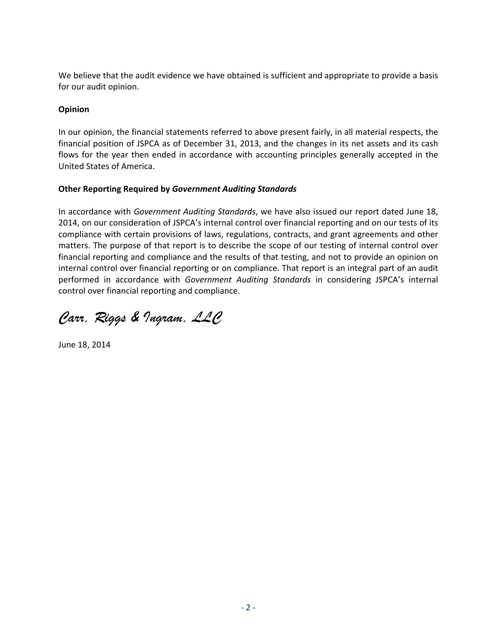We believe that the audit evidence we have obtained is sufficient and appropriate to provide a basis for our audit opinion.

### **Opinion**

In our opinion, the financial statements referred to above present fairly, in all material respects, the financial position of JSPCA as of December 31, 2013, and the changes in its net assets and its cash flows for the year then ended in accordance with accounting principles generally accepted in the United States of America.

### **Other Reporting Required by** *Government Auditing Standards*

In accordance with *Government Auditing Standards*, we have also issued our report dated June 18, 2014, on our consideration of JSPCA's internal control over financial reporting and on our tests of its compliance with certain provisions of laws, regulations, contracts, and grant agreements and other matters. The purpose of that report is to describe the scope of our testing of internal control over financial reporting and compliance and the results of that testing, and not to provide an opinion on internal control over financial reporting or on compliance. That report is an integral part of an audit performed in accordance with *Government Auditing Standards* in considering JSPCA's internal control over financial reporting and compliance.

*Carr, Riggs & Ingram, LLC* 

June 18, 2014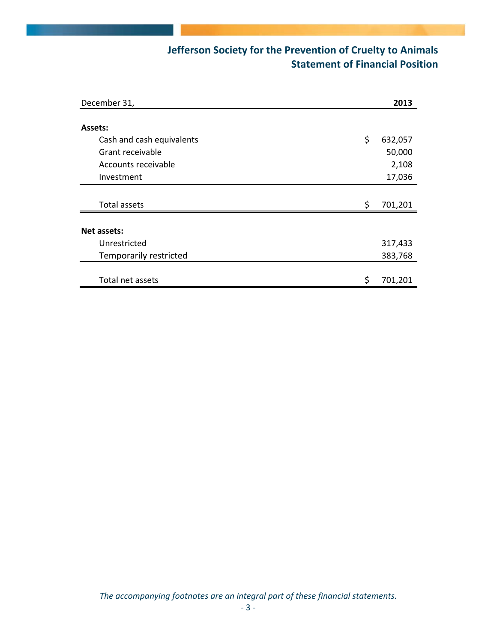# **Jefferson Society for the Prevention of Cruelty to Animals Statement of Financial Position**

| December 31,              |    | 2013    |
|---------------------------|----|---------|
|                           |    |         |
| Assets:                   |    |         |
| Cash and cash equivalents | \$ | 632,057 |
| Grant receivable          |    | 50,000  |
| Accounts receivable       |    | 2,108   |
| Investment                |    | 17,036  |
|                           |    |         |
| Total assets              | Ŝ. | 701,201 |
| Net assets:               |    |         |
| Unrestricted              |    | 317,433 |
| Temporarily restricted    |    | 383,768 |
|                           |    |         |
| Total net assets          | \$ | 701,201 |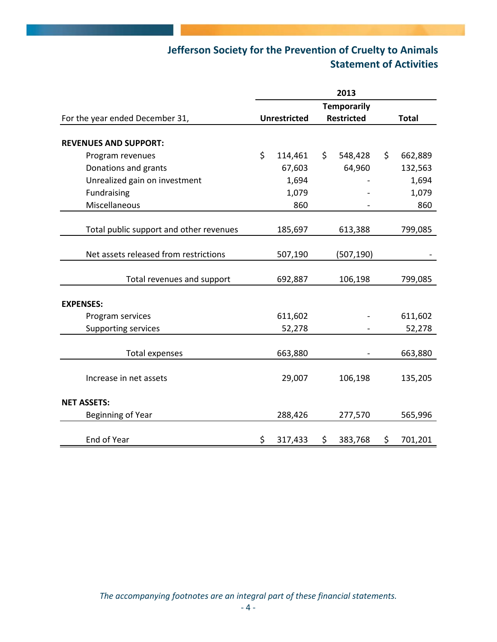# **Jefferson Society for the Prevention of Cruelty to Animals Statement of Activities**

|                                         | 2013                |         |                   |                    |              |         |
|-----------------------------------------|---------------------|---------|-------------------|--------------------|--------------|---------|
|                                         |                     |         |                   | <b>Temporarily</b> |              |         |
| For the year ended December 31,         | <b>Unrestricted</b> |         | <b>Restricted</b> |                    | <b>Total</b> |         |
|                                         |                     |         |                   |                    |              |         |
| <b>REVENUES AND SUPPORT:</b>            |                     |         |                   |                    |              |         |
| Program revenues                        | \$                  | 114,461 | \$                | 548,428            | \$           | 662,889 |
| Donations and grants                    |                     | 67,603  |                   | 64,960             |              | 132,563 |
| Unrealized gain on investment           |                     | 1,694   |                   |                    |              | 1,694   |
| Fundraising                             |                     | 1,079   |                   |                    |              | 1,079   |
| Miscellaneous                           |                     | 860     |                   |                    |              | 860     |
|                                         |                     |         |                   |                    |              |         |
| Total public support and other revenues |                     | 185,697 |                   | 613,388            |              | 799,085 |
|                                         |                     |         |                   |                    |              |         |
| Net assets released from restrictions   |                     | 507,190 |                   | (507, 190)         |              |         |
|                                         |                     |         |                   |                    |              |         |
| Total revenues and support              |                     | 692,887 |                   | 106,198            |              | 799,085 |
|                                         |                     |         |                   |                    |              |         |
| <b>EXPENSES:</b>                        |                     |         |                   |                    |              |         |
| Program services                        |                     | 611,602 |                   |                    |              | 611,602 |
| <b>Supporting services</b>              |                     | 52,278  |                   |                    |              | 52,278  |
|                                         |                     |         |                   |                    |              |         |
| <b>Total expenses</b>                   |                     | 663,880 |                   |                    |              | 663,880 |
|                                         |                     |         |                   |                    |              |         |
| Increase in net assets                  |                     | 29,007  |                   | 106,198            |              | 135,205 |
|                                         |                     |         |                   |                    |              |         |
| <b>NET ASSETS:</b>                      |                     |         |                   |                    |              |         |
| Beginning of Year                       |                     | 288,426 |                   | 277,570            |              | 565,996 |
|                                         |                     |         |                   |                    |              |         |
| End of Year                             | \$                  | 317,433 | \$                | 383,768            | \$           | 701,201 |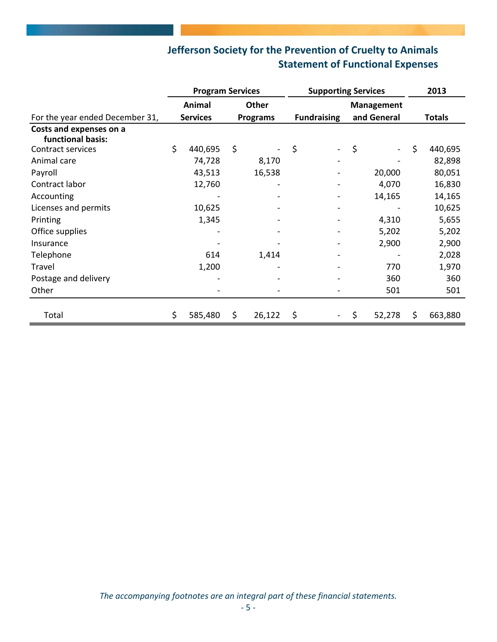# **Jefferson Society for the Prevention of Cruelty to Animals Statement of Functional Expenses**

|                                              | <b>Program Services</b> |         |                   | <b>Supporting Services</b> |                    |  |             |        | 2013          |         |
|----------------------------------------------|-------------------------|---------|-------------------|----------------------------|--------------------|--|-------------|--------|---------------|---------|
|                                              | Animal<br><b>Other</b>  |         | <b>Management</b> |                            |                    |  |             |        |               |         |
| For the year ended December 31,              | <b>Services</b>         |         | <b>Programs</b>   |                            | <b>Fundraising</b> |  | and General |        | <b>Totals</b> |         |
| Costs and expenses on a<br>functional basis: |                         |         |                   |                            |                    |  |             |        |               |         |
| Contract services                            | \$                      | 440,695 | \$                |                            | \$                 |  | $\zeta$     |        | \$            | 440,695 |
| Animal care                                  |                         | 74,728  |                   | 8,170                      |                    |  |             |        |               | 82,898  |
| Payroll                                      |                         | 43,513  |                   | 16,538                     |                    |  |             | 20,000 |               | 80,051  |
| Contract labor                               |                         | 12,760  |                   |                            |                    |  |             | 4,070  |               | 16,830  |
| Accounting                                   |                         |         |                   |                            |                    |  |             | 14,165 |               | 14,165  |
| Licenses and permits                         |                         | 10,625  |                   |                            |                    |  |             |        |               | 10,625  |
| Printing                                     |                         | 1,345   |                   |                            |                    |  |             | 4,310  |               | 5,655   |
| Office supplies                              |                         |         |                   |                            |                    |  |             | 5,202  |               | 5,202   |
| Insurance                                    |                         |         |                   |                            |                    |  |             | 2,900  |               | 2,900   |
| Telephone                                    |                         | 614     |                   | 1,414                      |                    |  |             |        |               | 2,028   |
| Travel                                       |                         | 1,200   |                   |                            |                    |  |             | 770    |               | 1,970   |
| Postage and delivery                         |                         |         |                   |                            |                    |  |             | 360    |               | 360     |
| Other                                        |                         |         |                   |                            |                    |  |             | 501    |               | 501     |
| Total                                        | \$                      | 585,480 | \$                | 26,122                     | \$                 |  | \$          | 52,278 | \$            | 663,880 |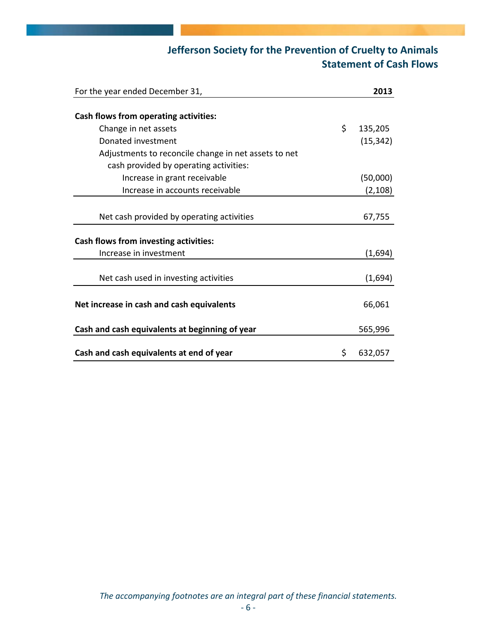# **Jefferson Society for the Prevention of Cruelty to Animals Statement of Cash Flows**

| For the year ended December 31,                      | 2013          |
|------------------------------------------------------|---------------|
|                                                      |               |
| Cash flows from operating activities:                |               |
| Change in net assets                                 | \$<br>135,205 |
| Donated investment                                   | (15, 342)     |
| Adjustments to reconcile change in net assets to net |               |
| cash provided by operating activities:               |               |
| Increase in grant receivable                         | (50,000)      |
| Increase in accounts receivable                      | (2, 108)      |
|                                                      |               |
| Net cash provided by operating activities            | 67,755        |
| Cash flows from investing activities:                |               |
| Increase in investment                               | (1,694)       |
|                                                      |               |
| Net cash used in investing activities                | (1,694)       |
|                                                      |               |
| Net increase in cash and cash equivalents            | 66,061        |
| Cash and cash equivalents at beginning of year       | 565,996       |
|                                                      |               |
| Cash and cash equivalents at end of year             | \$<br>632,057 |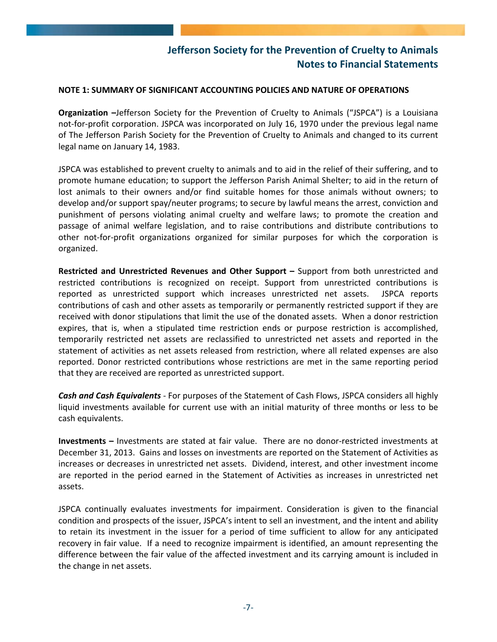#### **NOTE 1: SUMMARY OF SIGNIFICANT ACCOUNTING POLICIES AND NATURE OF OPERATIONS**

**Organization –**Jefferson Society for the Prevention of Cruelty to Animals ("JSPCA") is a Louisiana not-for-profit corporation. JSPCA was incorporated on July 16, 1970 under the previous legal name of The Jefferson Parish Society for the Prevention of Cruelty to Animals and changed to its current legal name on January 14, 1983.

JSPCA was established to prevent cruelty to animals and to aid in the relief of their suffering, and to promote humane education; to support the Jefferson Parish Animal Shelter; to aid in the return of lost animals to their owners and/or find suitable homes for those animals without owners; to develop and/or support spay/neuter programs; to secure by lawful means the arrest, conviction and punishment of persons violating animal cruelty and welfare laws; to promote the creation and passage of animal welfare legislation, and to raise contributions and distribute contributions to other not‐for‐profit organizations organized for similar purposes for which the corporation is organized.

**Restricted and Unrestricted Revenues and Other Support –** Support from both unrestricted and restricted contributions is recognized on receipt. Support from unrestricted contributions is reported as unrestricted support which increases unrestricted net assets. JSPCA reports contributions of cash and other assets as temporarily or permanently restricted support if they are received with donor stipulations that limit the use of the donated assets. When a donor restriction expires, that is, when a stipulated time restriction ends or purpose restriction is accomplished, temporarily restricted net assets are reclassified to unrestricted net assets and reported in the statement of activities as net assets released from restriction, where all related expenses are also reported. Donor restricted contributions whose restrictions are met in the same reporting period that they are received are reported as unrestricted support.

*Cash and Cash Equivalents* ‐ For purposes of the Statement of Cash Flows, JSPCA considers all highly liquid investments available for current use with an initial maturity of three months or less to be cash equivalents.

**Investments** – Investments are stated at fair value. There are no donor-restricted investments at December 31, 2013. Gains and losses on investments are reported on the Statement of Activities as increases or decreases in unrestricted net assets. Dividend, interest, and other investment income are reported in the period earned in the Statement of Activities as increases in unrestricted net assets.

JSPCA continually evaluates investments for impairment. Consideration is given to the financial condition and prospects of the issuer, JSPCA's intent to sell an investment, and the intent and ability to retain its investment in the issuer for a period of time sufficient to allow for any anticipated recovery in fair value. If a need to recognize impairment is identified, an amount representing the difference between the fair value of the affected investment and its carrying amount is included in the change in net assets.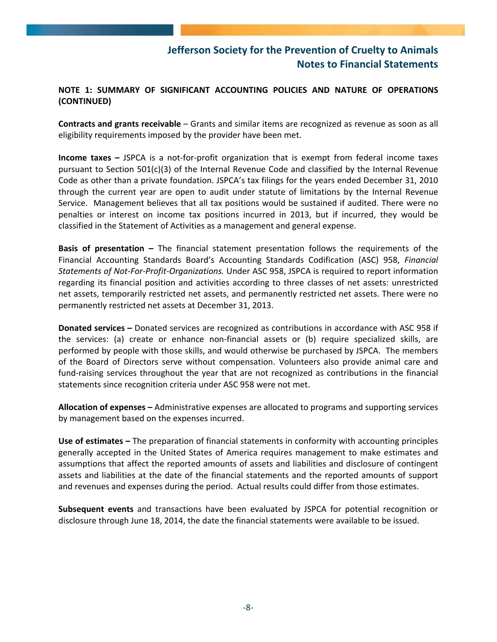### **NOTE 1: SUMMARY OF SIGNIFICANT ACCOUNTING POLICIES AND NATURE OF OPERATIONS (CONTINUED)**

**Contracts and grants receivable** – Grants and similar items are recognized as revenue as soon as all eligibility requirements imposed by the provider have been met.

**Income taxes –** JSPCA is a not‐for‐profit organization that is exempt from federal income taxes pursuant to Section 501(c)(3) of the Internal Revenue Code and classified by the Internal Revenue Code as other than a private foundation. JSPCA's tax filings for the years ended December 31, 2010 through the current year are open to audit under statute of limitations by the Internal Revenue Service. Management believes that all tax positions would be sustained if audited. There were no penalties or interest on income tax positions incurred in 2013, but if incurred, they would be classified in the Statement of Activities as a management and general expense.

**Basis of presentation –** The financial statement presentation follows the requirements of the Financial Accounting Standards Board's Accounting Standards Codification (ASC) 958, *Financial Statements of Not‐For‐Profit‐Organizations.* Under ASC 958, JSPCA is required to report information regarding its financial position and activities according to three classes of net assets: unrestricted net assets, temporarily restricted net assets, and permanently restricted net assets. There were no permanently restricted net assets at December 31, 2013.

**Donated services –** Donated services are recognized as contributions in accordance with ASC 958 if the services: (a) create or enhance non‐financial assets or (b) require specialized skills, are performed by people with those skills, and would otherwise be purchased by JSPCA. The members of the Board of Directors serve without compensation. Volunteers also provide animal care and fund-raising services throughout the year that are not recognized as contributions in the financial statements since recognition criteria under ASC 958 were not met.

**Allocation of expenses –** Administrative expenses are allocated to programs and supporting services by management based on the expenses incurred.

**Use of estimates –** The preparation of financial statements in conformity with accounting principles generally accepted in the United States of America requires management to make estimates and assumptions that affect the reported amounts of assets and liabilities and disclosure of contingent assets and liabilities at the date of the financial statements and the reported amounts of support and revenues and expenses during the period. Actual results could differ from those estimates.

**Subsequent events** and transactions have been evaluated by JSPCA for potential recognition or disclosure through June 18, 2014, the date the financial statements were available to be issued.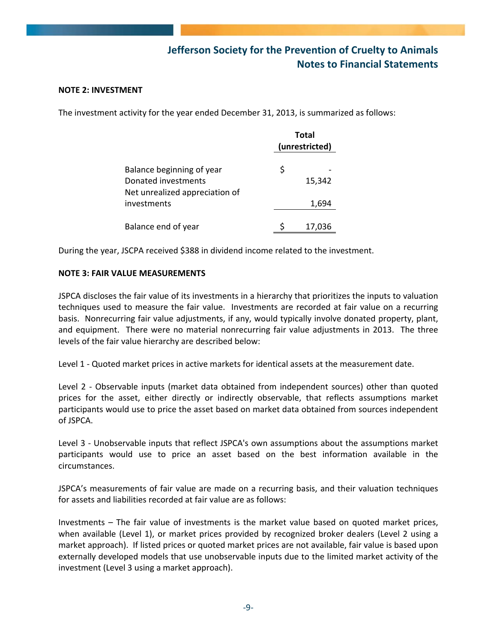#### **NOTE 2: INVESTMENT**

The investment activity for the year ended December 31, 2013, is summarized as follows:

|                                                                                    | <b>Total</b><br>(unrestricted) |  |
|------------------------------------------------------------------------------------|--------------------------------|--|
| Balance beginning of year<br>Donated investments<br>Net unrealized appreciation of | \$<br>15,342                   |  |
| investments                                                                        | 1,694                          |  |
| Balance end of year                                                                | 17,036                         |  |

During the year, JSCPA received \$388 in dividend income related to the investment.

#### **NOTE 3: FAIR VALUE MEASUREMENTS**

JSPCA discloses the fair value of its investments in a hierarchy that prioritizes the inputs to valuation techniques used to measure the fair value. Investments are recorded at fair value on a recurring basis. Nonrecurring fair value adjustments, if any, would typically involve donated property, plant, and equipment. There were no material nonrecurring fair value adjustments in 2013. The three levels of the fair value hierarchy are described below:

Level 1 - Quoted market prices in active markets for identical assets at the measurement date.

Level 2 - Observable inputs (market data obtained from independent sources) other than quoted prices for the asset, either directly or indirectly observable, that reflects assumptions market participants would use to price the asset based on market data obtained from sources independent of JSPCA.

Level 3 - Unobservable inputs that reflect JSPCA's own assumptions about the assumptions market participants would use to price an asset based on the best information available in the circumstances.

JSPCA's measurements of fair value are made on a recurring basis, and their valuation techniques for assets and liabilities recorded at fair value are as follows:

Investments – The fair value of investments is the market value based on quoted market prices, when available (Level 1), or market prices provided by recognized broker dealers (Level 2 using a market approach). If listed prices or quoted market prices are not available, fair value is based upon externally developed models that use unobservable inputs due to the limited market activity of the investment (Level 3 using a market approach).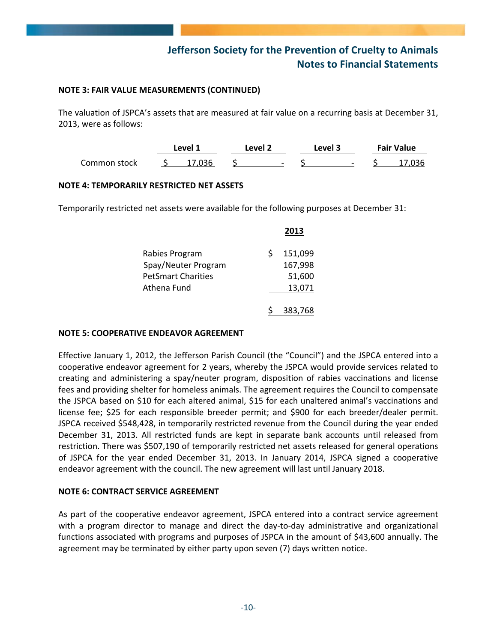#### **NOTE 3: FAIR VALUE MEASUREMENTS (CONTINUED)**

The valuation of JSPCA's assets that are measured at fair value on a recurring basis at December 31, 2013, were as follows:

|              | Level 1 | ∟evel 2                  | Level 3 |                          | <b>Fair Value</b> |  |
|--------------|---------|--------------------------|---------|--------------------------|-------------------|--|
| Common stock |         | $\overline{\phantom{0}}$ |         | $\overline{\phantom{0}}$ |                   |  |

#### **NOTE 4: TEMPORARILY RESTRICTED NET ASSETS**

Temporarily restricted net assets were available for the following purposes at December 31:

|                           | 2013    |
|---------------------------|---------|
| Rabies Program            | 151,099 |
| Spay/Neuter Program       | 167,998 |
| <b>PetSmart Charities</b> | 51,600  |
| Athena Fund               | 13,071  |
|                           |         |
|                           | 383,768 |

#### **NOTE 5: COOPERATIVE ENDEAVOR AGREEMENT**

Effective January 1, 2012, the Jefferson Parish Council (the "Council") and the JSPCA entered into a cooperative endeavor agreement for 2 years, whereby the JSPCA would provide services related to creating and administering a spay/neuter program, disposition of rabies vaccinations and license fees and providing shelter for homeless animals. The agreement requires the Council to compensate the JSPCA based on \$10 for each altered animal, \$15 for each unaltered animal's vaccinations and license fee; \$25 for each responsible breeder permit; and \$900 for each breeder/dealer permit. JSPCA received \$548,428, in temporarily restricted revenue from the Council during the year ended December 31, 2013. All restricted funds are kept in separate bank accounts until released from restriction. There was \$507,190 of temporarily restricted net assets released for general operations of JSPCA for the year ended December 31, 2013. In January 2014, JSPCA signed a cooperative endeavor agreement with the council. The new agreement will last until January 2018.

#### **NOTE 6: CONTRACT SERVICE AGREEMENT**

As part of the cooperative endeavor agreement, JSPCA entered into a contract service agreement with a program director to manage and direct the day-to-day administrative and organizational functions associated with programs and purposes of JSPCA in the amount of \$43,600 annually. The agreement may be terminated by either party upon seven (7) days written notice.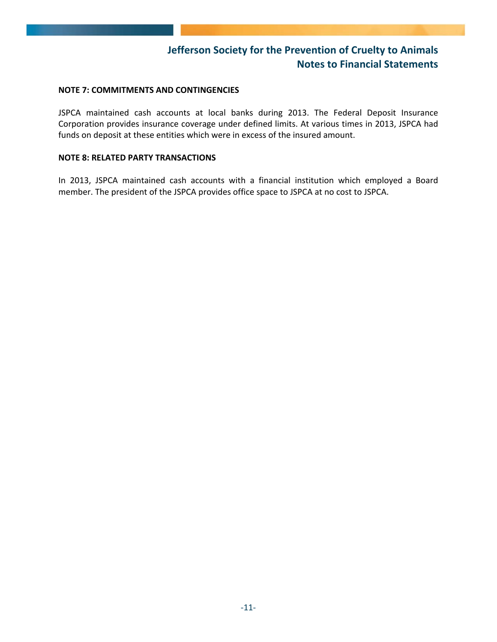#### **NOTE 7: COMMITMENTS AND CONTINGENCIES**

JSPCA maintained cash accounts at local banks during 2013. The Federal Deposit Insurance Corporation provides insurance coverage under defined limits. At various times in 2013, JSPCA had funds on deposit at these entities which were in excess of the insured amount.

#### **NOTE 8: RELATED PARTY TRANSACTIONS**

In 2013, JSPCA maintained cash accounts with a financial institution which employed a Board member. The president of the JSPCA provides office space to JSPCA at no cost to JSPCA.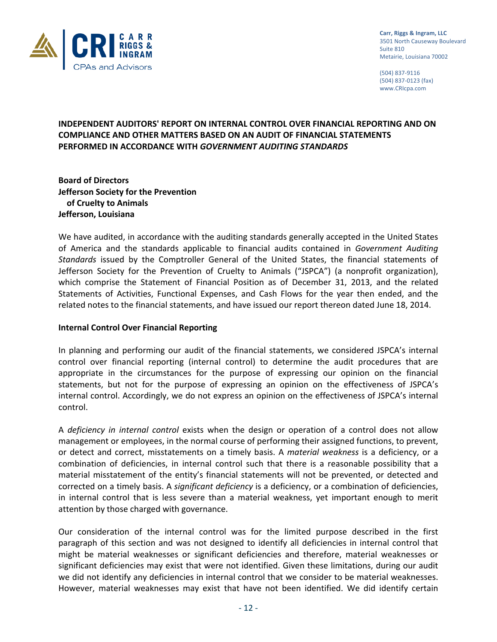

**Carr, Riggs & Ingram, LLC** 3501 North Causeway Boulevard Suite 810 Metairie, Louisiana 70002

(504) 837‐9116 (504) 837‐0123 (fax) www.CRIcpa.com

### **INDEPENDENT AUDITORS' REPORT ON INTERNAL CONTROL OVER FINANCIAL REPORTING AND ON COMPLIANCE AND OTHER MATTERS BASED ON AN AUDIT OF FINANCIAL STATEMENTS PERFORMED IN ACCORDANCE WITH** *GOVERNMENT AUDITING STANDARDS*

**Board of Directors Jefferson Society for the Prevention of Cruelty to Animals Jefferson, Louisiana**

We have audited, in accordance with the auditing standards generally accepted in the United States of America and the standards applicable to financial audits contained in *Government Auditing Standards* issued by the Comptroller General of the United States, the financial statements of Jefferson Society for the Prevention of Cruelty to Animals ("JSPCA") (a nonprofit organization), which comprise the Statement of Financial Position as of December 31, 2013, and the related Statements of Activities, Functional Expenses, and Cash Flows for the year then ended, and the related notes to the financial statements, and have issued our report thereon dated June 18, 2014.

#### **Internal Control Over Financial Reporting**

In planning and performing our audit of the financial statements, we considered JSPCA's internal control over financial reporting (internal control) to determine the audit procedures that are appropriate in the circumstances for the purpose of expressing our opinion on the financial statements, but not for the purpose of expressing an opinion on the effectiveness of JSPCA's internal control. Accordingly, we do not express an opinion on the effectiveness of JSPCA's internal control.

A *deficiency in internal control* exists when the design or operation of a control does not allow management or employees, in the normal course of performing their assigned functions, to prevent, or detect and correct, misstatements on a timely basis. A *material weakness* is a deficiency, or a combination of deficiencies, in internal control such that there is a reasonable possibility that a material misstatement of the entity's financial statements will not be prevented, or detected and corrected on a timely basis. A *significant deficiency* is a deficiency, or a combination of deficiencies, in internal control that is less severe than a material weakness, yet important enough to merit attention by those charged with governance.

Our consideration of the internal control was for the limited purpose described in the first paragraph of this section and was not designed to identify all deficiencies in internal control that might be material weaknesses or significant deficiencies and therefore, material weaknesses or significant deficiencies may exist that were not identified. Given these limitations, during our audit we did not identify any deficiencies in internal control that we consider to be material weaknesses. However, material weaknesses may exist that have not been identified. We did identify certain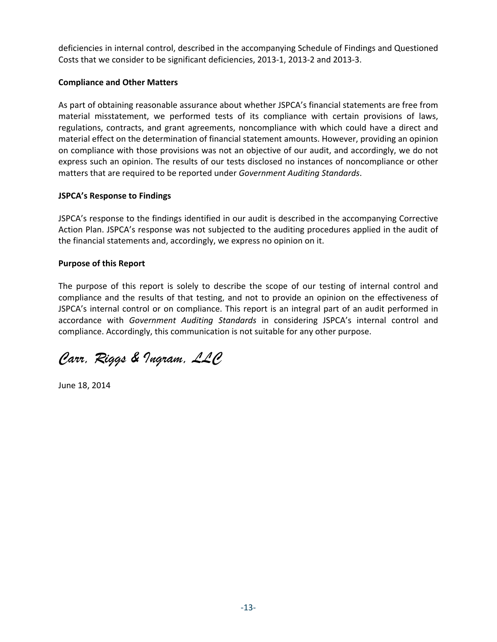deficiencies in internal control, described in the accompanying Schedule of Findings and Questioned Costs that we consider to be significant deficiencies, 2013‐1, 2013‐2 and 2013‐3.

### **Compliance and Other Matters**

As part of obtaining reasonable assurance about whether JSPCA's financial statements are free from material misstatement, we performed tests of its compliance with certain provisions of laws, regulations, contracts, and grant agreements, noncompliance with which could have a direct and material effect on the determination of financial statement amounts. However, providing an opinion on compliance with those provisions was not an objective of our audit, and accordingly, we do not express such an opinion. The results of our tests disclosed no instances of noncompliance or other matters that are required to be reported under *Government Auditing Standards*.

### **JSPCA's Response to Findings**

JSPCA's response to the findings identified in our audit is described in the accompanying Corrective Action Plan. JSPCA's response was not subjected to the auditing procedures applied in the audit of the financial statements and, accordingly, we express no opinion on it.

### **Purpose of this Report**

The purpose of this report is solely to describe the scope of our testing of internal control and compliance and the results of that testing, and not to provide an opinion on the effectiveness of JSPCA's internal control or on compliance. This report is an integral part of an audit performed in accordance with *Government Auditing Standards* in considering JSPCA's internal control and compliance. Accordingly, this communication is not suitable for any other purpose.

*Carr, Riggs & Ingram, LLC* 

June 18, 2014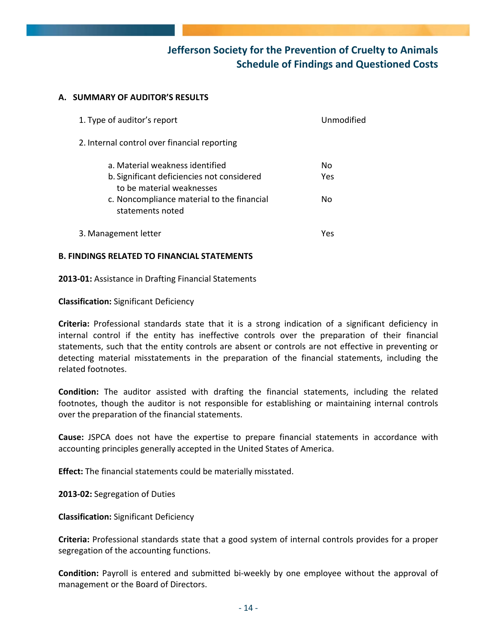## **Jefferson Society for the Prevention of Cruelty to Animals Schedule of Findings and Questioned Costs**

#### **A. SUMMARY OF AUDITOR'S RESULTS**

| 1. Type of auditor's report                                                                                | Unmodified |
|------------------------------------------------------------------------------------------------------------|------------|
| 2. Internal control over financial reporting                                                               |            |
| a. Material weakness identified<br>b. Significant deficiencies not considered<br>to be material weaknesses | Nο<br>Yes  |
| c. Noncompliance material to the financial<br>statements noted                                             | No         |
| 3. Management letter                                                                                       | Yes        |

#### **B. FINDINGS RELATED TO FINANCIAL STATEMENTS**

**2013‐01:** Assistance in Drafting Financial Statements

#### **Classification:** Significant Deficiency

**Criteria:** Professional standards state that it is a strong indication of a significant deficiency in internal control if the entity has ineffective controls over the preparation of their financial statements, such that the entity controls are absent or controls are not effective in preventing or detecting material misstatements in the preparation of the financial statements, including the related footnotes.

**Condition:** The auditor assisted with drafting the financial statements, including the related footnotes, though the auditor is not responsible for establishing or maintaining internal controls over the preparation of the financial statements.

**Cause:** JSPCA does not have the expertise to prepare financial statements in accordance with accounting principles generally accepted in the United States of America.

**Effect:** The financial statements could be materially misstated.

**2013‐02:** Segregation of Duties

**Classification:** Significant Deficiency

**Criteria:** Professional standards state that a good system of internal controls provides for a proper segregation of the accounting functions.

**Condition:** Payroll is entered and submitted bi-weekly by one employee without the approval of management or the Board of Directors.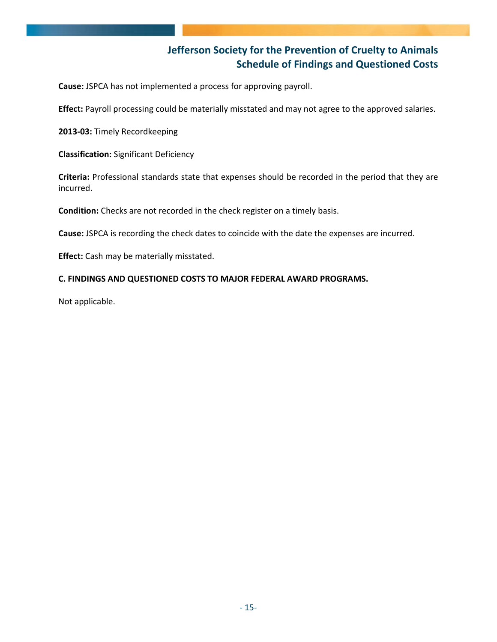## **Jefferson Society for the Prevention of Cruelty to Animals Schedule of Findings and Questioned Costs**

**Cause:** JSPCA has not implemented a process for approving payroll.

**Effect:** Payroll processing could be materially misstated and may not agree to the approved salaries.

**2013‐03:** Timely Recordkeeping

**Classification:** Significant Deficiency

**Criteria:** Professional standards state that expenses should be recorded in the period that they are incurred.

**Condition:** Checks are not recorded in the check register on a timely basis.

**Cause:** JSPCA is recording the check dates to coincide with the date the expenses are incurred.

**Effect:** Cash may be materially misstated.

#### **C. FINDINGS AND QUESTIONED COSTS TO MAJOR FEDERAL AWARD PROGRAMS.**

Not applicable.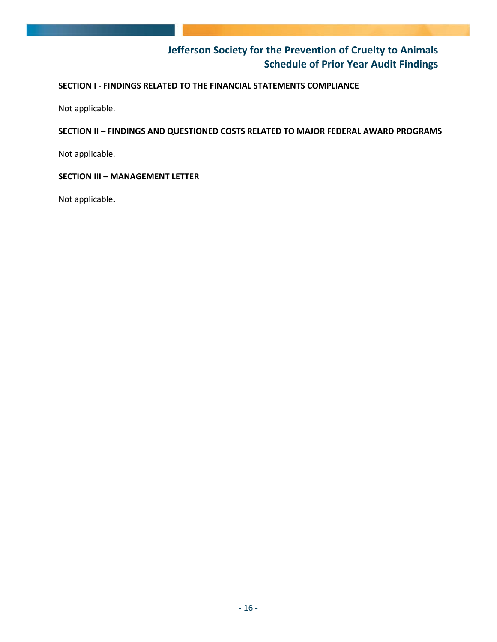## **Jefferson Society for the Prevention of Cruelty to Animals Schedule of Prior Year Audit Findings**

### **SECTION I ‐ FINDINGS RELATED TO THE FINANCIAL STATEMENTS COMPLIANCE**

Not applicable.

### **SECTION II – FINDINGS AND QUESTIONED COSTS RELATED TO MAJOR FEDERAL AWARD PROGRAMS**

Not applicable.

### **SECTION III – MANAGEMENT LETTER**

Not applicable**.**